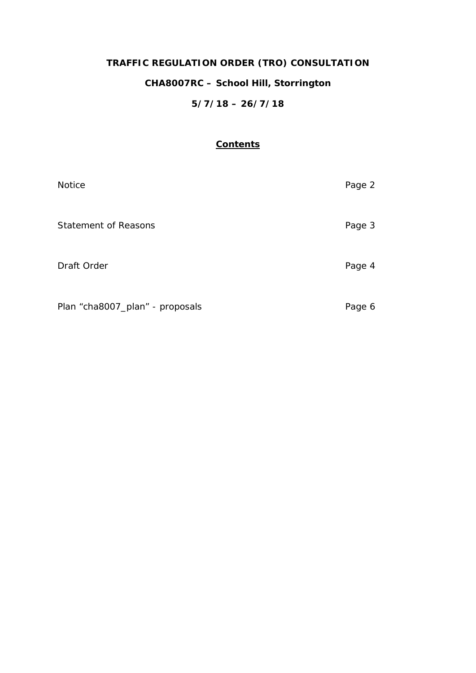# **TRAFFIC REGULATION ORDER (TRO) CONSULTATION CHA8007RC – School Hill, Storrington**

## **5/7/18 – 26/7/18**

### **Contents**

| <b>Notice</b>                   | Page 2 |
|---------------------------------|--------|
| Statement of Reasons            | Page 3 |
| Draft Order                     | Page 4 |
| Plan "cha8007_plan" - proposals | Page 6 |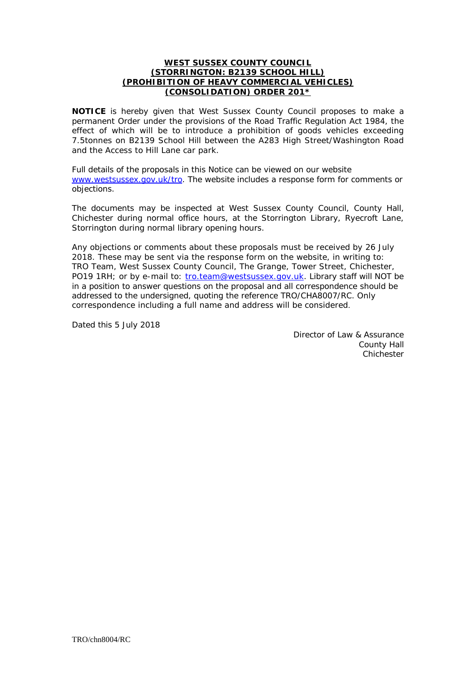#### **WEST SUSSEX COUNTY COUNCIL (STORRINGTON: B2139 SCHOOL HILL) (PROHIBITION OF HEAVY COMMERCIAL VEHICLES) (CONSOLIDATION) ORDER 201\***

**NOTICE** is hereby given that West Sussex County Council proposes to make a permanent Order under the provisions of the Road Traffic Regulation Act 1984, the effect of which will be to introduce a prohibition of goods vehicles exceeding 7.5tonnes on B2139 School Hill between the A283 High Street/Washington Road and the Access to Hill Lane car park.

Full details of the proposals in this Notice can be viewed on our website [www.westsussex.gov.uk/tro.](http://www.westsussex.gov.uk/tro) The website includes a response form for comments or objections.

The documents may be inspected at West Sussex County Council, County Hall, Chichester during normal office hours, at the Storrington Library, Ryecroft Lane, Storrington during normal library opening hours.

Any objections or comments about these proposals must be received by 26 July 2018. These may be sent via the response form on the website, in writing to: TRO Team, West Sussex County Council, The Grange, Tower Street, Chichester, PO19 1RH; or by e-mail to: [tro.team@westsussex.gov.uk.](mailto:tro.team@westsussex.gov.uk) Library staff will NOT be in a position to answer questions on the proposal and all correspondence should be addressed to the undersigned, quoting the reference TRO/CHA8007/RC. Only correspondence including a full name and address will be considered.

Dated this 5 July 2018

Director of Law & Assurance County Hall Chichester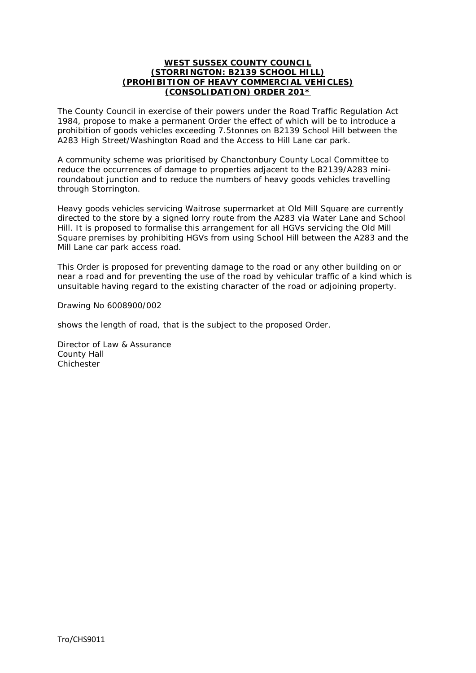#### **WEST SUSSEX COUNTY COUNCIL (STORRINGTON: B2139 SCHOOL HILL) (PROHIBITION OF HEAVY COMMERCIAL VEHICLES) (CONSOLIDATION) ORDER 201\***

The County Council in exercise of their powers under the Road Traffic Regulation Act 1984, propose to make a permanent Order the effect of which will be to introduce a prohibition of goods vehicles exceeding 7.5tonnes on B2139 School Hill between the A283 High Street/Washington Road and the Access to Hill Lane car park.

A community scheme was prioritised by Chanctonbury County Local Committee to reduce the occurrences of damage to properties adjacent to the B2139/A283 miniroundabout junction and to reduce the numbers of heavy goods vehicles travelling through Storrington.

Heavy goods vehicles servicing Waitrose supermarket at Old Mill Square are currently directed to the store by a signed lorry route from the A283 via Water Lane and School Hill. It is proposed to formalise this arrangement for all HGVs servicing the Old Mill Square premises by prohibiting HGVs from using School Hill between the A283 and the Mill Lane car park access road.

This Order is proposed for preventing damage to the road or any other building on or near a road and for preventing the use of the road by vehicular traffic of a kind which is unsuitable having regard to the existing character of the road or adjoining property.

Drawing No 6008900/002

shows the length of road, that is the subject to the proposed Order.

Director of Law & Assurance County Hall **Chichester**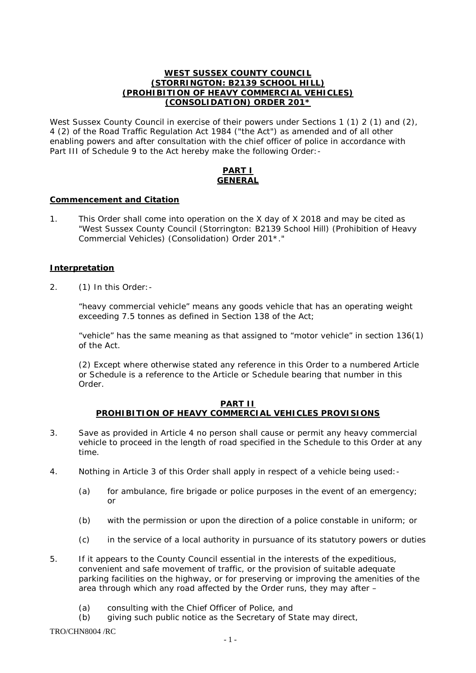#### **WEST SUSSEX COUNTY COUNCIL (STORRINGTON: B2139 SCHOOL HILL) (PROHIBITION OF HEAVY COMMERCIAL VEHICLES) (CONSOLIDATION) ORDER 201\***

West Sussex County Council in exercise of their powers under Sections 1 (1) 2 (1) and (2), 4 (2) of the Road Traffic Regulation Act 1984 ("the Act") as amended and of all other enabling powers and after consultation with the chief officer of police in accordance with Part III of Schedule 9 to the Act hereby make the following Order: -

#### **PART I GENERAL**

#### **Commencement and Citation**

1. This Order shall come into operation on the X day of X 2018 and may be cited as "West Sussex County Council (Storrington: B2139 School Hill) (Prohibition of Heavy Commercial Vehicles) (Consolidation) Order 201\*."

#### **Interpretation**

2. (1) In this Order:-

"heavy commercial vehicle" means any goods vehicle that has an operating weight exceeding 7.5 tonnes as defined in Section 138 of the Act;

"vehicle" has the same meaning as that assigned to "motor vehicle" in section 136(1) of the Act.

(2) Except where otherwise stated any reference in this Order to a numbered Article or Schedule is a reference to the Article or Schedule bearing that number in this Order.

#### **PART II PROHIBITION OF HEAVY COMMERCIAL VEHICLES PROVISIONS**

- 3. Save as provided in Article 4 no person shall cause or permit any heavy commercial vehicle to proceed in the length of road specified in the Schedule to this Order at any time.
- 4. Nothing in Article 3 of this Order shall apply in respect of a vehicle being used:-
	- (a) for ambulance, fire brigade or police purposes in the event of an emergency; or
	- (b) with the permission or upon the direction of a police constable in uniform; or
	- (c) in the service of a local authority in pursuance of its statutory powers or duties
- 5. If it appears to the County Council essential in the interests of the expeditious, convenient and safe movement of traffic, or the provision of suitable adequate parking facilities on the highway, or for preserving or improving the amenities of the area through which any road affected by the Order runs, they may after –
	- (a) consulting with the Chief Officer of Police, and
	- (b) giving such public notice as the Secretary of State may direct,

 $TRO/CHNS004 / RC$   $-1$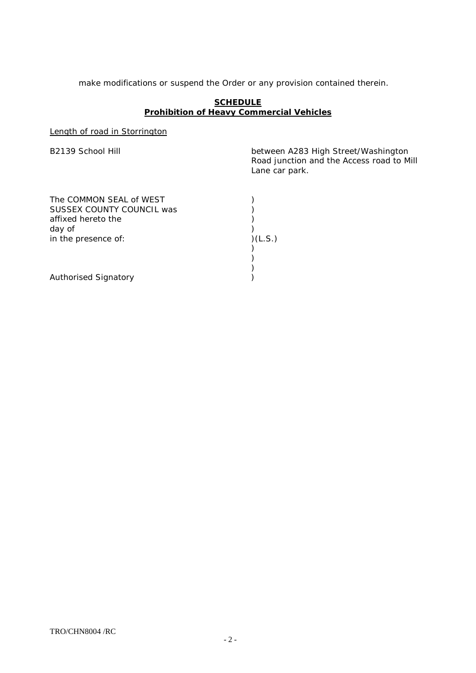make modifications or suspend the Order or any provision contained therein.

#### **SCHEDULE Prohibition of Heavy Commercial Vehicles**

Length of road in Storrington

B2139 School Hill **B2139** School Hill **between A283 High Street/Washington** Road junction and the Access road to Mill Lane car park.

| The COMMON SEAL of WEST<br>SUSSEX COUNTY COUNCIL was<br>affixed hereto the |         |
|----------------------------------------------------------------------------|---------|
| day of<br>in the presence of:                                              | )(L.S.) |
| <b>Authorised Signatory</b>                                                |         |